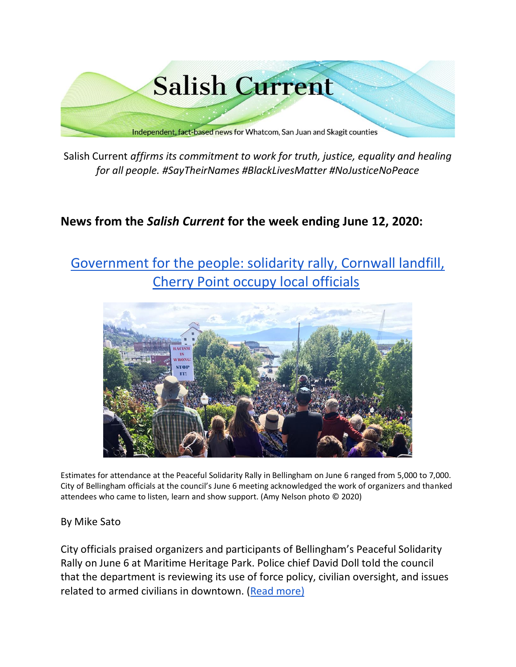

Salish Current *affirms its commitment to work for truth, justice, equality and healing for all people. #SayTheirNames #BlackLivesMatter #NoJusticeNoPeace*

# **News from the** *Salish Current* **for the week ending June 12, 2020:**

# [Government for the people: solidarity rally, Cornwall landfill,](https://salish-current.org/2020/06/11/government-for-the-people-solidarity-rally-cornwall-landfill-cherry-point-occupy-local-officials-during-the-week-ending-june-12/) [Cherry Point occupy local officials](https://salish-current.org/2020/06/11/government-for-the-people-solidarity-rally-cornwall-landfill-cherry-point-occupy-local-officials-during-the-week-ending-june-12/)



Estimates for attendance at the Peaceful Solidarity Rally in Bellingham on June 6 ranged from 5,000 to 7,000. City of Bellingham officials at the council's June 6 meeting acknowledged the work of organizers and thanked attendees who came to listen, learn and show support. (Amy Nelson photo © 2020)

#### By Mike Sato

City officials praised organizers and participants of Bellingham's Peaceful Solidarity Rally on June 6 at Maritime Heritage Park. Police chief David Doll told the council that the department is reviewing its use of force policy, civilian oversight, and issues related to armed civilians in downtown. [\(Read more\)](https://salish-current.org/2020/06/11/government-for-the-people-solidarity-rally-cornwall-landfill-cherry-point-occupy-local-officials-during-the-week-ending-june-12/)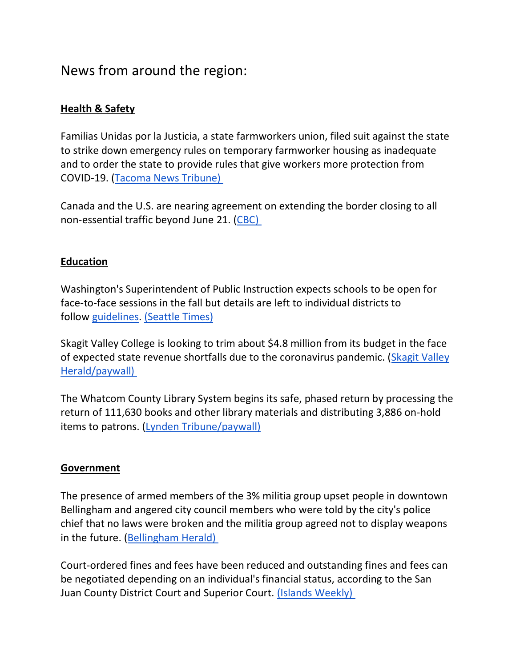# News from around the region:

# **Health & Safety**

Familias Unidas por la Justicia, a state farmworkers union, filed suit against the state to strike down emergency rules on temporary farmworker housing as inadequate and to order the state to provide rules that give workers more protection from COVID-19. [\(Tacoma News Tribune\)](https://www.thenewstribune.com/news/coronavirus/article243309696.html)

Canada and the U.S. are nearing agreement on extending the border closing to all non-essential traffic beyond June 21. [\(CBC\)](https://www.cbc.ca/news/canada/canada-us-border-crossing-deal-1.5605636)

# **Education**

Washington's Superintendent of Public Instruction expects schools to be open for face-to-face sessions in the fall but details are left to individual districts to follow [guidelines.](https://www.k12.wa.us/sites/default/files/public/workgroups/Reopening%20Washington%20Schools%202020%20Planning%20Guide.pdf) [\(Seattle Times\)](https://www.seattletimes.com/education-lab/washington-schools-expected-to-reopen-this-fall-with-in-person-learning-after-long-coronavirus-closures/?utm_source=referral&utm_medium=mobile-app&utm_campaign=ios)

Skagit Valley College is looking to trim about \$4.8 million from its budget in the face of expected state revenue shortfalls due to the coronavirus pandemic. [\(Skagit Valley](https://www.goskagit.com/news/skagit-valley-college-braces-for-budget-cuts/article_c41646d1-bf82-535b-847f-fa4ad88315ef.html)  [Herald/paywall\)](https://www.goskagit.com/news/skagit-valley-college-braces-for-budget-cuts/article_c41646d1-bf82-535b-847f-fa4ad88315ef.html)

The Whatcom County Library System begins its safe, phased return by processing the return of 111,630 books and other library materials and distributing 3,886 on-hold items to patrons. [\(Lynden Tribune/paywall\)](https://www.lyndentribune.com/news/library-system-must-manage-the-return-of-111-630-books/article_5feecb2a-ab33-11ea-90c3-dbdc3c5fb187.html)

# **Government**

The presence of armed members of the 3% militia group upset people in downtown Bellingham and angered city council members who were told by the city's police chief that no laws were broken and the militia group agreed not to display weapons in the future. [\(Bellingham Herald\)](https://www.bellinghamherald.com/news/local/article243382121.html)

Court-ordered fines and fees have been reduced and outstanding fines and fees can be negotiated depending on an individual's financial status, according to the San Juan County District Court and Superior Court. [\(Islands Weekly\)](https://www.islandsweekly.com/news/san-juan-county-courts-offer-new-process-for-reducing-court-ordered-debts/)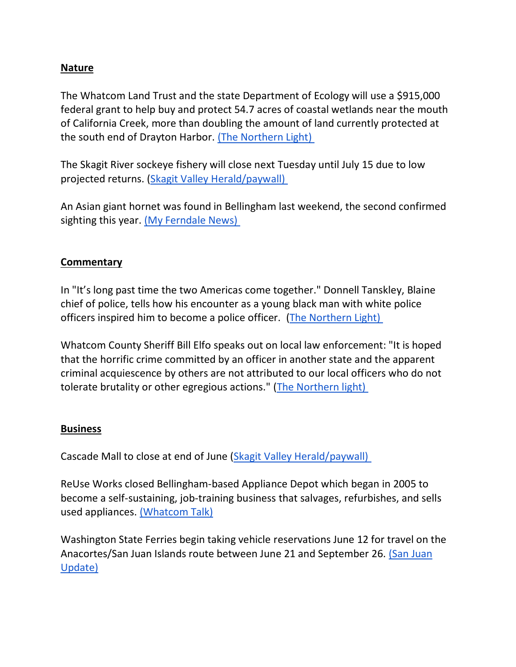### **Nature**

The Whatcom Land Trust and the state Department of Ecology will use a \$915,000 federal grant to help buy and protect 54.7 acres of coastal wetlands near the mouth of California Creek, more than doubling the amount of land currently protected at the south end of Drayton Harbor. [\(The Northern Light\)](https://www.thenorthernlight.com/stories/grant-will-double-the-protected-area-at-the-mouth-of-california-creek,10730)

The Skagit River sockeye fishery will close next Tuesday until July 15 due to low projected returns. [\(Skagit Valley Herald/paywall\)](https://www.goskagit.com/sports/skagit-river-closing-to-sockeye-fishing/article_0c873056-9d97-5334-9183-681bf8e0a538.html)

An Asian giant hornet was found in Bellingham last weekend, the second confirmed sighting this year. [\(My Ferndale News\)](https://myferndalenews.com/2nd-confirmed-asian-giant-hornet-this-year-found-15-miles-from-1st-location_103952/)

# **Commentary**

In "It's long past time the two Americas come together." Donnell Tanskley, Blaine chief of police, tells how his encounter as a young black man with white police officers inspired him to become a police officer. [\(The Northern Light\)](https://www.thenorthernlight.com/stories/blaine-police-chief-its-long-past-time-the-two-americas-come-together,10658)

Whatcom County Sheriff Bill Elfo speaks out on local law enforcement: "It is hoped that the horrific crime committed by an officer in another state and the apparent criminal acquiescence by others are not attributed to our local officers who do not tolerate brutality or other egregious actions." [\(The Northern light\)](https://www.thenorthernlight.com/stories/sheriff-bill-elfo-on-local-law-enforcement,10718)

#### **Business**

Cascade Mall to close at end of June [\(Skagit Valley Herald/paywall\)](https://www.goskagit.com/news/local_news/cascade-mall-to-close-at-end-of-june/article_fe336545-6c50-575a-854d-9eb6b5b8b94b.html?utm_medium=social&utm_source=email&utm_campaign=user-share)

ReUse Works closed Bellingham-based Appliance Depot which began in 2005 to become a self-sustaining, job-training business that salvages, refurbishes, and sells used appliances. [\(Whatcom Talk\)](https://www.whatcomtalk.com/2020/06/09/reuse-works-announces-permanent-closure-of-bellinghams-appliance-depot/)

Washington State Ferries begin taking vehicle reservations June 12 for travel on the Anacortes/San Juan Islands route between June 21 and September 26. [\(San Juan](https://sanjuanupdate.com/2020/06/reservations-return-on-friday/)  [Update\)](https://sanjuanupdate.com/2020/06/reservations-return-on-friday/)